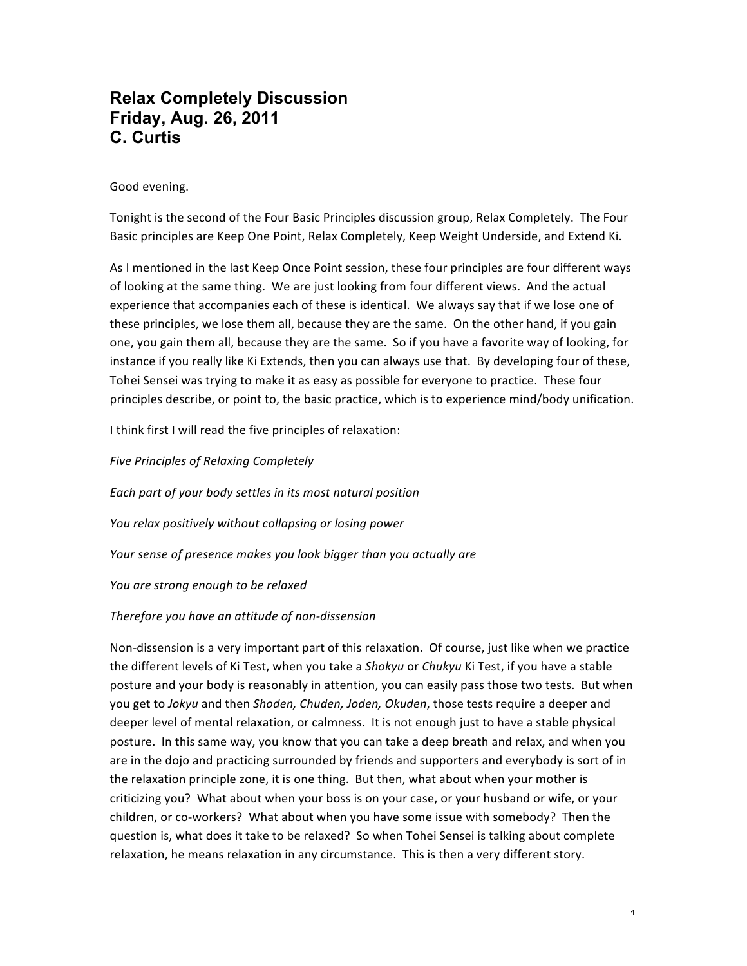# **Relax Completely Discussion Friday, Aug. 26, 2011 C. Curtis**

Good evening.

Tonight is the second of the Four Basic Principles discussion group, Relax Completely. The Four Basic principles are Keep One Point, Relax Completely, Keep Weight Underside, and Extend Ki.

As I mentioned in the last Keep Once Point session, these four principles are four different ways of looking at the same thing. We are just looking from four different views. And the actual experience that accompanies each of these is identical. We always say that if we lose one of these principles, we lose them all, because they are the same. On the other hand, if you gain one, you gain them all, because they are the same. So if you have a favorite way of looking, for instance if you really like Ki Extends, then you can always use that. By developing four of these, Tohei Sensei was trying to make it as easy as possible for everyone to practice. These four principles describe, or point to, the basic practice, which is to experience mind/body unification.

I think first I will read the five principles of relaxation:

*Five Principles of Relaxing Completely Each part of your body settles in its most natural position* You relax positively without collapsing or losing power Your sense of presence makes you look bigger than you actually are *You are strong enough to be relaxed*

# *Therefore you have an attitude of non-dissension*

Non-dissension is a very important part of this relaxation. Of course, just like when we practice the different levels of Ki Test, when you take a *Shokyu* or *Chukyu* Ki Test, if you have a stable posture and your body is reasonably in attention, you can easily pass those two tests. But when you get to *Jokyu* and then *Shoden, Chuden, Joden, Okuden*, those tests require a deeper and deeper level of mental relaxation, or calmness. It is not enough just to have a stable physical posture. In this same way, you know that you can take a deep breath and relax, and when you are in the dojo and practicing surrounded by friends and supporters and everybody is sort of in the relaxation principle zone, it is one thing. But then, what about when your mother is criticizing you? What about when your boss is on your case, or your husband or wife, or your children, or co-workers? What about when you have some issue with somebody? Then the question is, what does it take to be relaxed? So when Tohei Sensei is talking about complete relaxation, he means relaxation in any circumstance. This is then a very different story.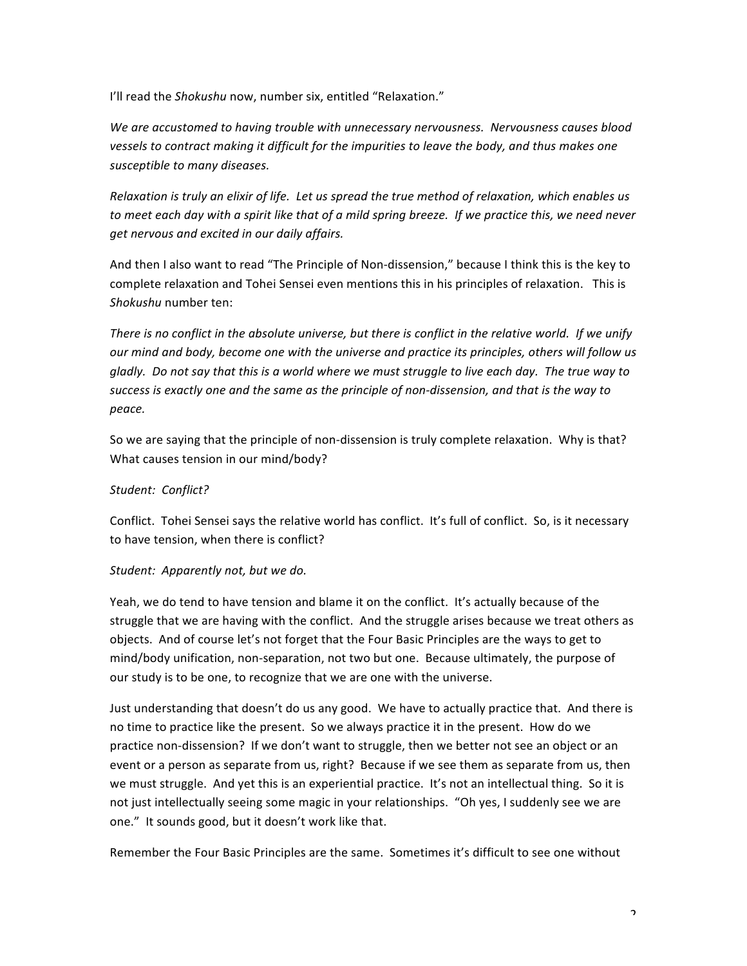I'll read the *Shokushu* now, number six, entitled "Relaxation."

We are accustomed to having trouble with unnecessary nervousness. Nervousness causes blood vessels to contract making it difficult for the impurities to leave the body, and thus makes one susceptible to many diseases.

*Relaxation is truly an elixir of life. Let us spread the true method of relaxation, which enables us* to meet each day with a spirit like that of a mild spring breeze. If we practice this, we need never *get nervous and excited in our daily affairs.*

And then I also want to read "The Principle of Non-dissension," because I think this is the key to complete relaxation and Tohei Sensei even mentions this in his principles of relaxation. This is Shokushu number ten:

There is no conflict in the absolute universe, but there is conflict in the relative world. If we unify *our* mind and body, become one with the universe and practice its principles, others will follow us *gladly.* Do not say that this is a world where we must struggle to live each day. The true way to success is exactly one and the same as the principle of non-dissension, and that is the way to *peace.*

So we are saying that the principle of non-dissension is truly complete relaxation. Why is that? What causes tension in our mind/body?

# *Student: Conflict?*

Conflict. Tohei Sensei says the relative world has conflict. It's full of conflict. So, is it necessary to have tension, when there is conflict?

# Student: Apparently not, but we do.

Yeah, we do tend to have tension and blame it on the conflict. It's actually because of the struggle that we are having with the conflict. And the struggle arises because we treat others as objects. And of course let's not forget that the Four Basic Principles are the ways to get to mind/body unification, non-separation, not two but one. Because ultimately, the purpose of our study is to be one, to recognize that we are one with the universe.

Just understanding that doesn't do us any good. We have to actually practice that. And there is no time to practice like the present. So we always practice it in the present. How do we practice non-dissension? If we don't want to struggle, then we better not see an object or an event or a person as separate from us, right? Because if we see them as separate from us, then we must struggle. And yet this is an experiential practice. It's not an intellectual thing. So it is not just intellectually seeing some magic in your relationships. "Oh yes, I suddenly see we are one." It sounds good, but it doesn't work like that.

Remember the Four Basic Principles are the same. Sometimes it's difficult to see one without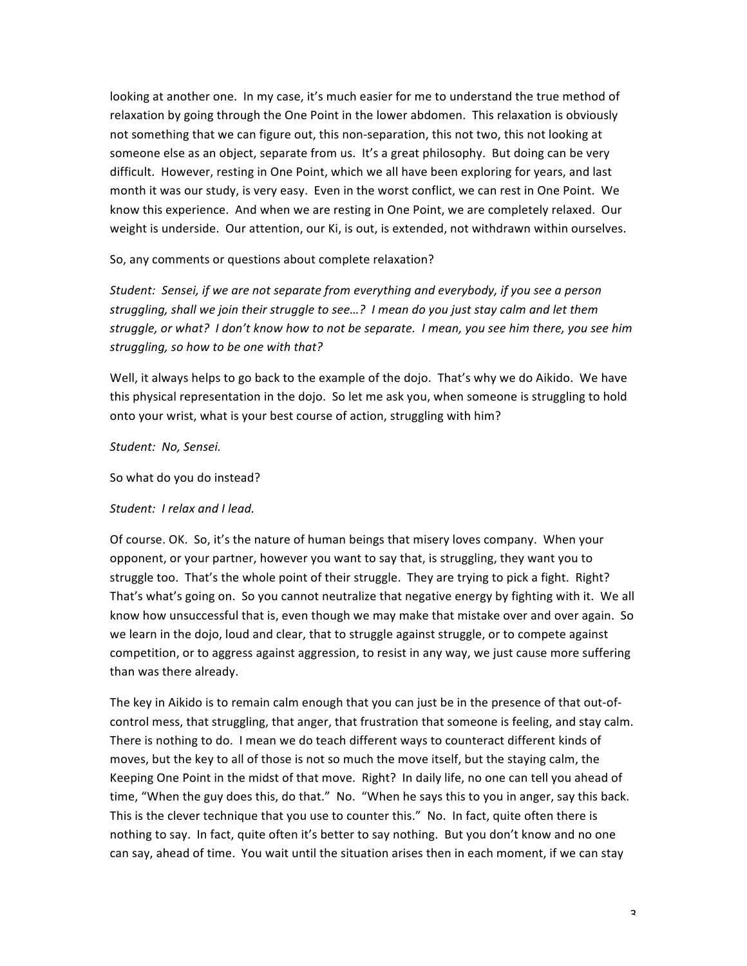looking at another one. In my case, it's much easier for me to understand the true method of relaxation by going through the One Point in the lower abdomen. This relaxation is obviously not something that we can figure out, this non-separation, this not two, this not looking at someone else as an object, separate from us. It's a great philosophy. But doing can be very difficult. However, resting in One Point, which we all have been exploring for years, and last month it was our study, is very easy. Even in the worst conflict, we can rest in One Point. We know this experience. And when we are resting in One Point, we are completely relaxed. Our weight is underside. Our attention, our Ki, is out, is extended, not withdrawn within ourselves.

So, any comments or questions about complete relaxation?

*Student: Sensei, if we are not separate from everything and everybody, if you see a person* struggling, shall we join their struggle to see...? I mean do you just stay calm and let them struggle, or what? I don't know how to not be separate. I mean, you see him there, you see him struggling, so how to be one with that?

Well, it always helps to go back to the example of the dojo. That's why we do Aikido. We have this physical representation in the dojo. So let me ask you, when someone is struggling to hold onto your wrist, what is your best course of action, struggling with him?

*Student: No, Sensei.*

So what do you do instead?

Student: I relax and I lead.

Of course. OK. So, it's the nature of human beings that misery loves company. When your opponent, or your partner, however you want to say that, is struggling, they want you to struggle too. That's the whole point of their struggle. They are trying to pick a fight. Right? That's what's going on. So you cannot neutralize that negative energy by fighting with it. We all know how unsuccessful that is, even though we may make that mistake over and over again. So we learn in the dojo, loud and clear, that to struggle against struggle, or to compete against competition, or to aggress against aggression, to resist in any way, we just cause more suffering than was there already.

The key in Aikido is to remain calm enough that you can just be in the presence of that out-ofcontrol mess, that struggling, that anger, that frustration that someone is feeling, and stay calm. There is nothing to do. I mean we do teach different ways to counteract different kinds of moves, but the key to all of those is not so much the move itself, but the staying calm, the Keeping One Point in the midst of that move. Right? In daily life, no one can tell you ahead of time, "When the guy does this, do that." No. "When he says this to you in anger, say this back. This is the clever technique that you use to counter this." No. In fact, quite often there is nothing to say. In fact, quite often it's better to say nothing. But you don't know and no one can say, ahead of time. You wait until the situation arises then in each moment, if we can stay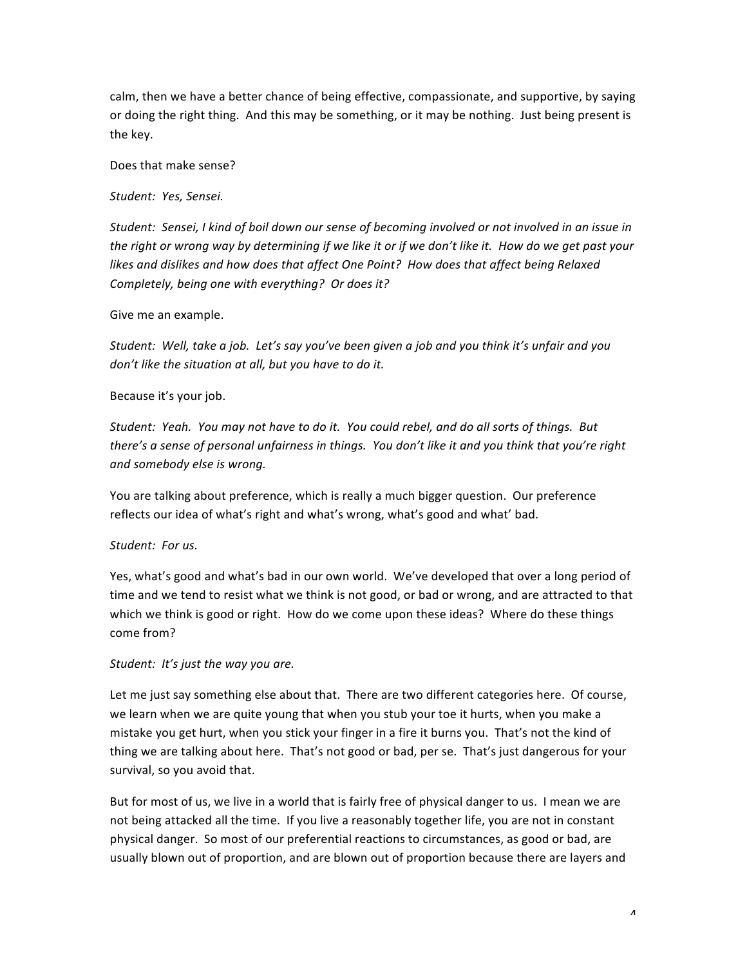calm, then we have a better chance of being effective, compassionate, and supportive, by saying or doing the right thing. And this may be something, or it may be nothing. Just being present is the key.

Does that make sense?

*Student: Yes, Sensei.*

Student: Sensei, I kind of boil down our sense of becoming involved or not involved in an issue in the right or wrong way by determining if we like it or if we don't like it. How do we get past your likes and dislikes and how does that affect One Point? How does that affect being Relaxed *Completely, being one with everything? Or does it?* 

Give me an example.

*Student:* Well, take a job. Let's say you've been given a job and you think it's unfair and you don't like the situation at all, but you have to do it.

## Because it's your job.

Student: Yeah. You may not have to do it. You could rebel, and do all sorts of things. But *there's a sense of personal unfairness in things. You don't like it and you think that you're right and somebody else is wrong.*

You are talking about preference, which is really a much bigger question. Our preference reflects our idea of what's right and what's wrong, what's good and what' bad.

# Student: For us.

Yes, what's good and what's bad in our own world. We've developed that over a long period of time and we tend to resist what we think is not good, or bad or wrong, and are attracted to that which we think is good or right. How do we come upon these ideas? Where do these things come from?

# *Student: It's just the way you are.*

Let me just say something else about that. There are two different categories here. Of course, we learn when we are quite young that when you stub your toe it hurts, when you make a mistake you get hurt, when you stick your finger in a fire it burns you. That's not the kind of thing we are talking about here. That's not good or bad, per se. That's just dangerous for your survival, so you avoid that.

But for most of us, we live in a world that is fairly free of physical danger to us. I mean we are not being attacked all the time. If you live a reasonably together life, you are not in constant physical danger. So most of our preferential reactions to circumstances, as good or bad, are usually blown out of proportion, and are blown out of proportion because there are layers and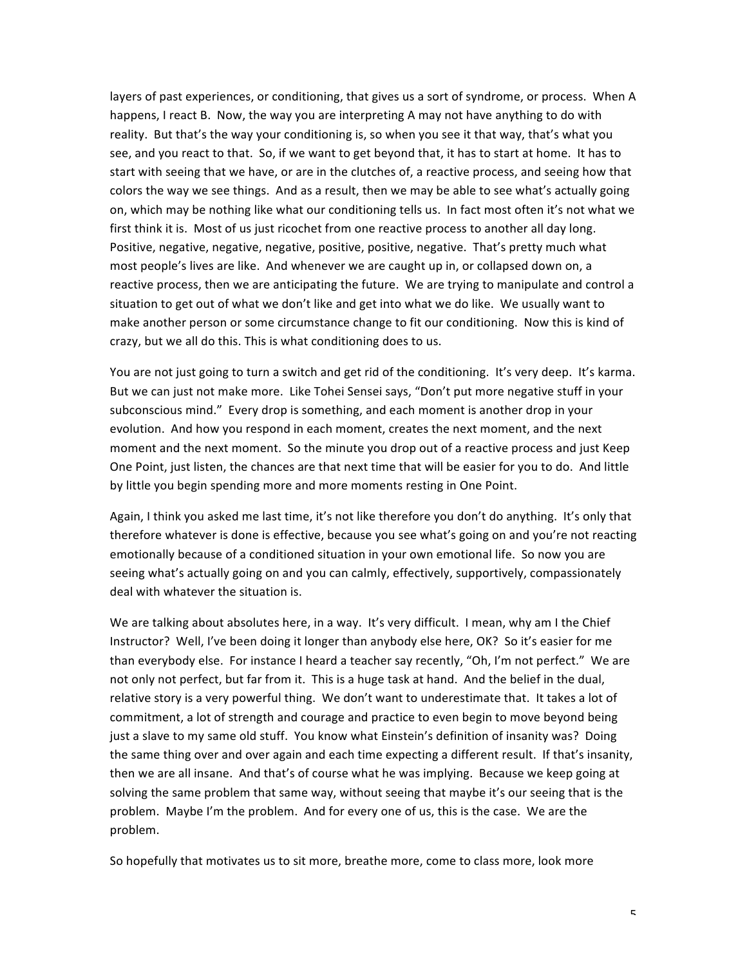layers of past experiences, or conditioning, that gives us a sort of syndrome, or process. When A happens, I react B. Now, the way you are interpreting A may not have anything to do with reality. But that's the way your conditioning is, so when you see it that way, that's what you see, and you react to that. So, if we want to get beyond that, it has to start at home. It has to start with seeing that we have, or are in the clutches of, a reactive process, and seeing how that colors the way we see things. And as a result, then we may be able to see what's actually going on, which may be nothing like what our conditioning tells us. In fact most often it's not what we first think it is. Most of us just ricochet from one reactive process to another all day long. Positive, negative, negative, negative, positive, positive, negative. That's pretty much what most people's lives are like. And whenever we are caught up in, or collapsed down on, a reactive process, then we are anticipating the future. We are trying to manipulate and control a situation to get out of what we don't like and get into what we do like. We usually want to make another person or some circumstance change to fit our conditioning. Now this is kind of crazy, but we all do this. This is what conditioning does to us.

You are not just going to turn a switch and get rid of the conditioning. It's very deep. It's karma. But we can just not make more. Like Tohei Sensei says, "Don't put more negative stuff in your subconscious mind." Every drop is something, and each moment is another drop in your evolution. And how you respond in each moment, creates the next moment, and the next moment and the next moment. So the minute you drop out of a reactive process and just Keep One Point, just listen, the chances are that next time that will be easier for you to do. And little by little you begin spending more and more moments resting in One Point.

Again, I think you asked me last time, it's not like therefore you don't do anything. It's only that therefore whatever is done is effective, because you see what's going on and you're not reacting emotionally because of a conditioned situation in your own emotional life. So now you are seeing what's actually going on and you can calmly, effectively, supportively, compassionately deal with whatever the situation is.

We are talking about absolutes here, in a way. It's very difficult. I mean, why am I the Chief Instructor? Well, I've been doing it longer than anybody else here, OK? So it's easier for me than everybody else. For instance I heard a teacher say recently, "Oh, I'm not perfect." We are not only not perfect, but far from it. This is a huge task at hand. And the belief in the dual, relative story is a very powerful thing. We don't want to underestimate that. It takes a lot of commitment, a lot of strength and courage and practice to even begin to move beyond being just a slave to my same old stuff. You know what Einstein's definition of insanity was? Doing the same thing over and over again and each time expecting a different result. If that's insanity, then we are all insane. And that's of course what he was implying. Because we keep going at solving the same problem that same way, without seeing that maybe it's our seeing that is the problem. Maybe I'm the problem. And for every one of us, this is the case. We are the problem.

So hopefully that motivates us to sit more, breathe more, come to class more, look more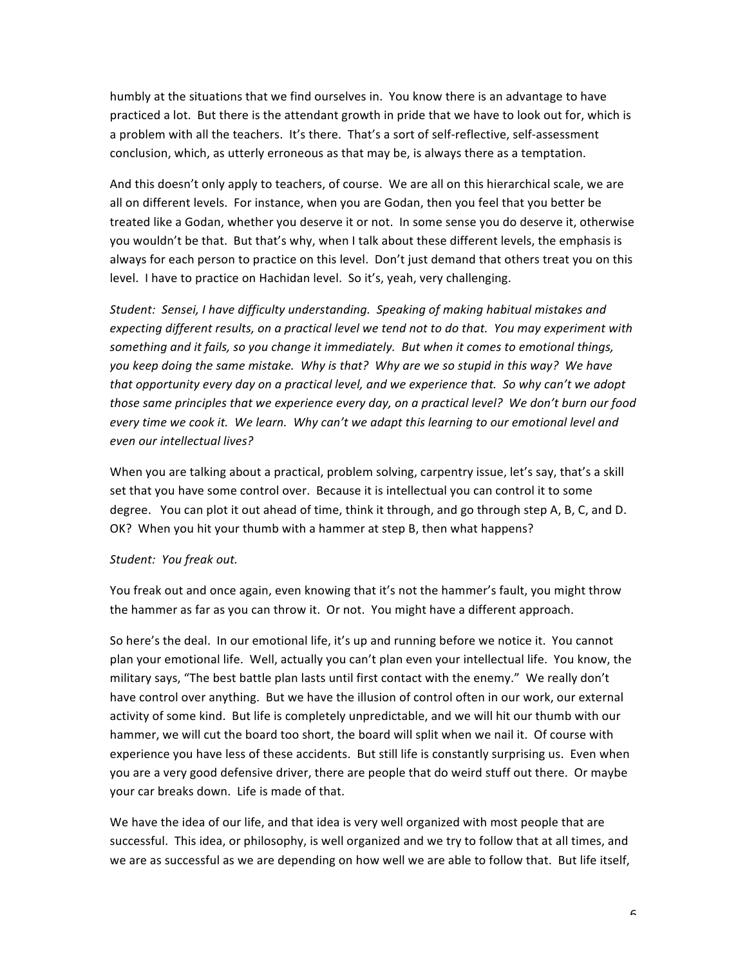humbly at the situations that we find ourselves in. You know there is an advantage to have practiced a lot. But there is the attendant growth in pride that we have to look out for, which is a problem with all the teachers. It's there. That's a sort of self-reflective, self-assessment conclusion, which, as utterly erroneous as that may be, is always there as a temptation.

And this doesn't only apply to teachers, of course. We are all on this hierarchical scale, we are all on different levels. For instance, when you are Godan, then you feel that you better be treated like a Godan, whether you deserve it or not. In some sense you do deserve it, otherwise you wouldn't be that. But that's why, when I talk about these different levels, the emphasis is always for each person to practice on this level. Don't just demand that others treat you on this level. I have to practice on Hachidan level. So it's, yeah, very challenging.

Student: Sensei, I have difficulty understanding. Speaking of making habitual mistakes and expecting different results, on a practical level we tend not to do that. You may experiment with something and it fails, so you change it immediately. But when it comes to emotional things, you keep doing the same mistake. Why is that? Why are we so stupid in this way? We have that opportunity every day on a practical level, and we experience that. So why can't we adopt *those same principles that we experience every day, on a practical level? We don't burn our food* every time we cook it. We learn. Why can't we adapt this learning to our emotional level and *even our intellectual lives?*

When you are talking about a practical, problem solving, carpentry issue, let's say, that's a skill set that you have some control over. Because it is intellectual you can control it to some degree. You can plot it out ahead of time, think it through, and go through step A, B, C, and D. OK? When you hit your thumb with a hammer at step B, then what happens?

#### *Student: You freak out.*

You freak out and once again, even knowing that it's not the hammer's fault, you might throw the hammer as far as you can throw it. Or not. You might have a different approach.

So here's the deal. In our emotional life, it's up and running before we notice it. You cannot plan your emotional life. Well, actually you can't plan even your intellectual life. You know, the military says, "The best battle plan lasts until first contact with the enemy." We really don't have control over anything. But we have the illusion of control often in our work, our external activity of some kind. But life is completely unpredictable, and we will hit our thumb with our hammer, we will cut the board too short, the board will split when we nail it. Of course with experience you have less of these accidents. But still life is constantly surprising us. Even when you are a very good defensive driver, there are people that do weird stuff out there. Or maybe your car breaks down. Life is made of that.

We have the idea of our life, and that idea is very well organized with most people that are successful. This idea, or philosophy, is well organized and we try to follow that at all times, and we are as successful as we are depending on how well we are able to follow that. But life itself,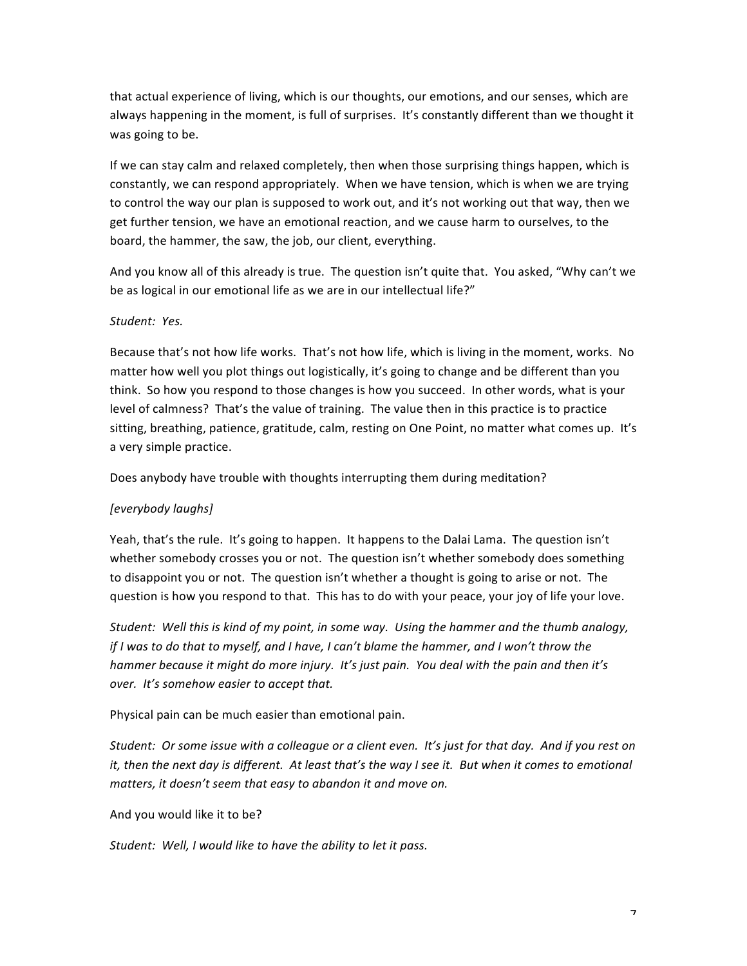that actual experience of living, which is our thoughts, our emotions, and our senses, which are always happening in the moment, is full of surprises. It's constantly different than we thought it was going to be.

If we can stay calm and relaxed completely, then when those surprising things happen, which is constantly, we can respond appropriately. When we have tension, which is when we are trying to control the way our plan is supposed to work out, and it's not working out that way, then we get further tension, we have an emotional reaction, and we cause harm to ourselves, to the board, the hammer, the saw, the job, our client, everything.

And you know all of this already is true. The question isn't quite that. You asked, "Why can't we be as logical in our emotional life as we are in our intellectual life?"

## *Student: Yes.*

Because that's not how life works. That's not how life, which is living in the moment, works. No matter how well you plot things out logistically, it's going to change and be different than you think. So how you respond to those changes is how you succeed. In other words, what is your level of calmness? That's the value of training. The value then in this practice is to practice sitting, breathing, patience, gratitude, calm, resting on One Point, no matter what comes up. It's a very simple practice.

Does anybody have trouble with thoughts interrupting them during meditation?

# *[everybody laughs]*

Yeah, that's the rule. It's going to happen. It happens to the Dalai Lama. The question isn't whether somebody crosses you or not. The question isn't whether somebody does something to disappoint you or not. The question isn't whether a thought is going to arise or not. The question is how you respond to that. This has to do with your peace, your joy of life your love.

*Student:* Well this is kind of my point, in some way. Using the hammer and the thumb analogy, *if* I was to do that to myself, and I have, I can't blame the hammer, and I won't throw the *hammer because it might do more injury. It's just pain. You deal with the pain and then it's over.* It's somehow easier to accept that.

Physical pain can be much easier than emotional pain.

*Student:* Or some issue with a colleague or a client even. It's just for that day. And if you rest on *it,* then the next day is different. At least that's the way I see it. But when it comes to emotional matters, it doesn't seem that easy to abandon it and move on.

#### And you would like it to be?

Student: Well, I would like to have the ability to let it pass.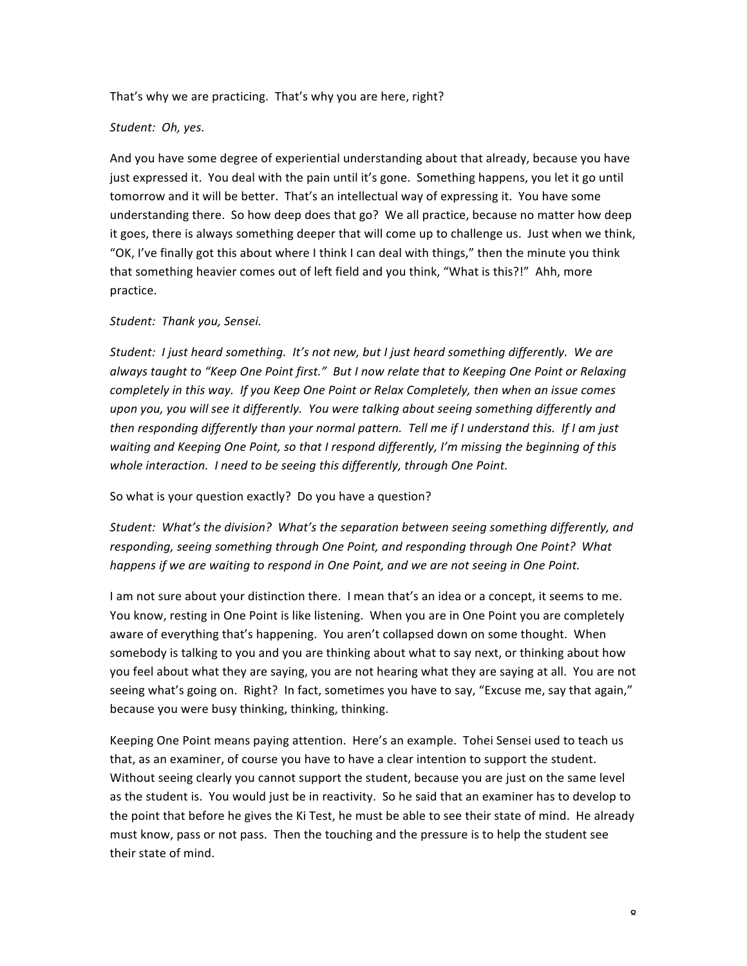That's why we are practicing. That's why you are here, right?

# Student: Oh, yes.

And you have some degree of experiential understanding about that already, because you have just expressed it. You deal with the pain until it's gone. Something happens, you let it go until tomorrow and it will be better. That's an intellectual way of expressing it. You have some understanding there. So how deep does that go? We all practice, because no matter how deep it goes, there is always something deeper that will come up to challenge us. Just when we think, "OK, I've finally got this about where I think I can deal with things," then the minute you think that something heavier comes out of left field and you think, "What is this?!" Ahh, more practice.

## *Student: Thank you, Sensei.*

*Student: I* just heard something. It's not new, but I just heard something differently. We are always taught to "Keep One Point first." But I now relate that to Keeping One Point or Relaxing *completely* in this way. If you Keep One Point or Relax Completely, then when an issue comes upon you, you will see it differently. You were talking about seeing something differently and *then* responding differently than your normal pattern. Tell me if I understand this. If I am just waiting and Keeping One Point, so that I respond differently, I'm missing the beginning of this whole interaction. I need to be seeing this differently, through One Point.

So what is your question exactly? Do you have a question?

Student: What's the division? What's the separation between seeing something differently, and responding, seeing something through One Point, and responding through One Point? What *happens if* we are waiting to respond in One Point, and we are not seeing in One Point.

I am not sure about your distinction there. I mean that's an idea or a concept, it seems to me. You know, resting in One Point is like listening. When you are in One Point you are completely aware of everything that's happening. You aren't collapsed down on some thought. When somebody is talking to you and you are thinking about what to say next, or thinking about how you feel about what they are saying, you are not hearing what they are saying at all. You are not seeing what's going on. Right? In fact, sometimes you have to say, "Excuse me, say that again," because you were busy thinking, thinking, thinking.

Keeping One Point means paying attention. Here's an example. Tohei Sensei used to teach us that, as an examiner, of course you have to have a clear intention to support the student. Without seeing clearly you cannot support the student, because you are just on the same level as the student is. You would just be in reactivity. So he said that an examiner has to develop to the point that before he gives the Ki Test, he must be able to see their state of mind. He already must know, pass or not pass. Then the touching and the pressure is to help the student see their state of mind.